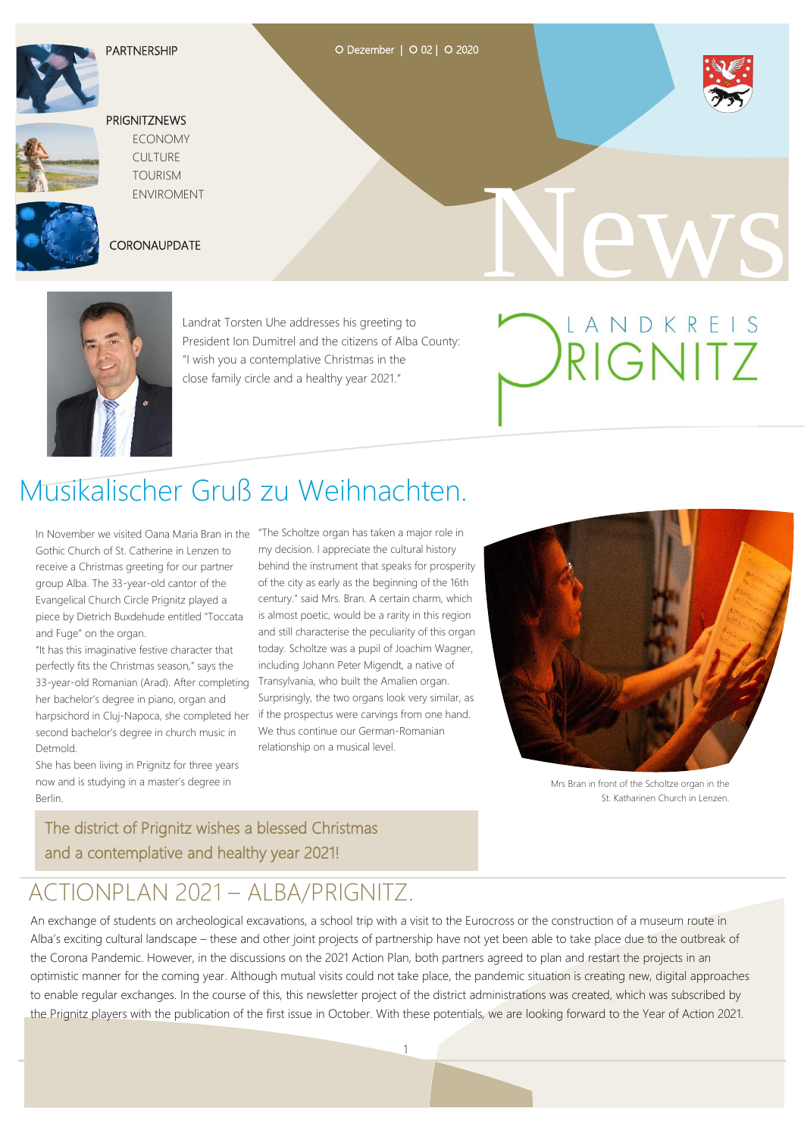

### O Dezember | O 02 | O 2020



### **PRIGNITZNEWS**

 ECONOMY CULTURE TOURISM ENVIROMENT



### **CORONAUPDATE**





 Landrat Torsten Uhe addresses his greeting to President Ion Dumitrel and the citizens of Alba County: "I wish you a contemplative Christmas in the close family circle and a healthy year 2021."

# LANDKREIS

# Musikalischer Gruß zu Weihnachten.

Gothic Church of St. Catherine in Lenzen to receive a Christmas greeting for our partner group Alba. The 33-year-old cantor of the Evangelical Church Circle Prignitz played a piece by Dietrich Buxdehude entitled "Toccata and Fuge" on the organ.

"It has this imaginative festive character that perfectly fits the Christmas season," says the 33-year-old Romanian (Arad). After completing her bachelor's degree in piano, organ and harpsichord in Cluj-Napoca, she completed her second bachelor's degree in church music in **Detmold** 

She has been living in Prignitz for three years now and is studying in a master's degree in Berlin.

In November we visited Oana Maria Bran in the "The Scholtze organ has taken a major role in my decision. I appreciate the cultural history behind the instrument that speaks for prosperity of the city as early as the beginning of the 16th century." said Mrs. Bran. A certain charm, which is almost poetic, would be a rarity in this region and still characterise the peculiarity of this organ today. Scholtze was a pupil of Joachim Wagner, including Johann Peter Migendt, a native of Transylvania, who built the Amalien organ. Surprisingly, the two organs look very similar, as if the prospectus were carvings from one hand. We thus continue our German-Romanian relationship on a musical level.



Mrs Bran in front of the Scholtze organ in the St. Katharinen Church in Lenzen.

### The district of Prignitz wishes a blessed Christmas and a contemplative and healthy year 2021!

### ACTIONPLAN 2021 – ALBA/PRIGNITZ.

An exchange of students on archeological excavations, a school trip with a visit to the Eurocross or the construction of a museum route in Alba's exciting cultural landscape – these and other joint projects of partnership have not yet been able to take place due to the outbreak of the Corona Pandemic. However, in the discussions on the 2021 Action Plan, both partners agreed to plan and restart the projects in an optimistic manner for the coming year. Although mutual visits could not take place, the pandemic situation is creating new, digital approaches to enable regular exchanges. In the course of this, this newsletter project of the district administrations was created, which was subscribed by the Prignitz players with the publication of the first issue in October. With these potentials, we are looking forward to the Year of Action 2021.

<u>1 - John Stein, amerikan ing Kabupatèn I</u>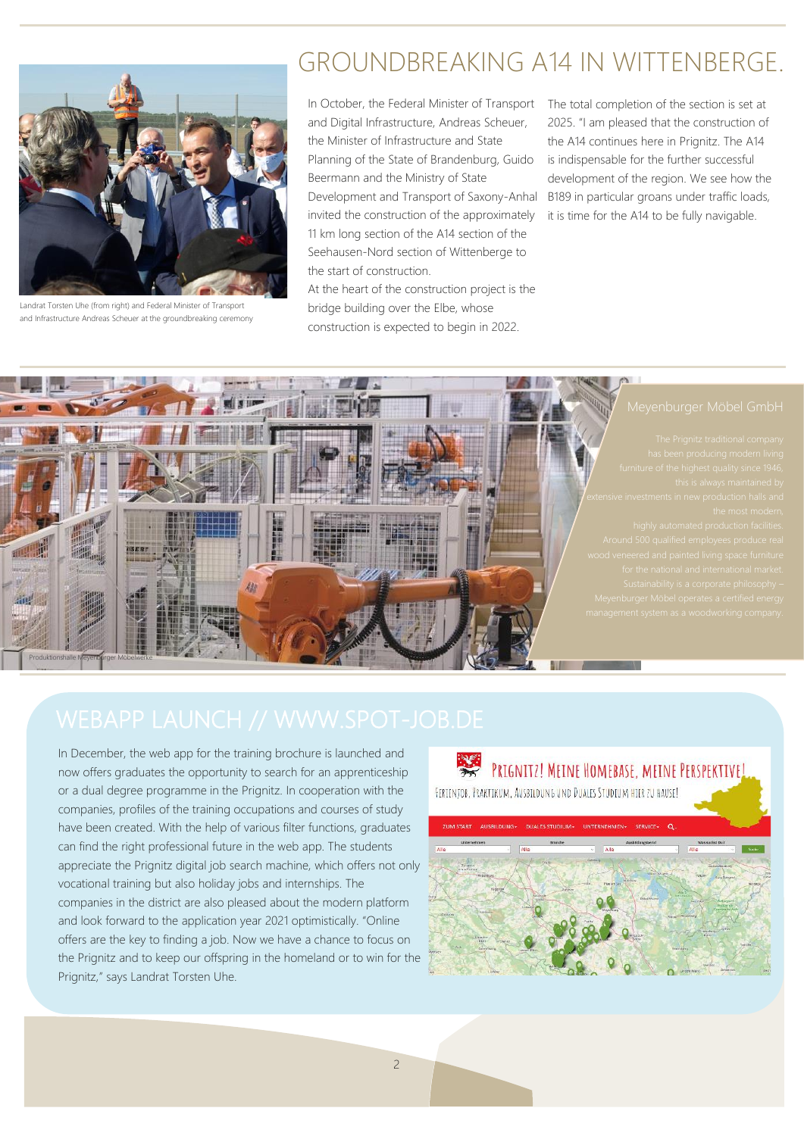

and Infrastructure Andreas Scheuer at the groundbreaking ceremony Landrat Torsten Uhe (from right) and Federal Minister of Transport

# GROUNDBREAKING A14 IN WITTENBERGE.

In October, the Federal Minister of Transport and Digital Infrastructure, Andreas Scheuer, the Minister of Infrastructure and State Planning of the State of Brandenburg, Guido Beermann and the Ministry of State Development and Transport of Saxony-Anhalt invited the construction of the approximately 11 km long section of the A14 section of the Seehausen-Nord section of Wittenberge to the start of construction.

At the heart of the construction project is the bridge building over the Elbe, whose construction is expected to begin in 2022.

The total completion of the section is set at 2025. "I am pleased that the construction of the A14 continues here in Prignitz. The A14 is indispensable for the further successful development of the region. We see how the B189 in particular groans under traffic loads, it is time for the A14 to be fully navigable.



In December, the web app for the training brochure is launched and now offers graduates the opportunity to search for an apprenticeship or a dual degree programme in the Prignitz. In cooperation with the companies, profiles of the training occupations and courses of study have been created. With the help of various filter functions, graduates can find the right professional future in the web app. The students appreciate the Prignitz digital job search machine, which offers not only vocational training but also holiday jobs and internships. The companies in the district are also pleased about the modern platform and look forward to the application year 2021 optimistically. "Online offers are the key to finding a job. Now we have a chance to focus on the Prignitz and to keep our offspring in the homeland or to win for the Prignitz," says Landrat Torsten Uhe.

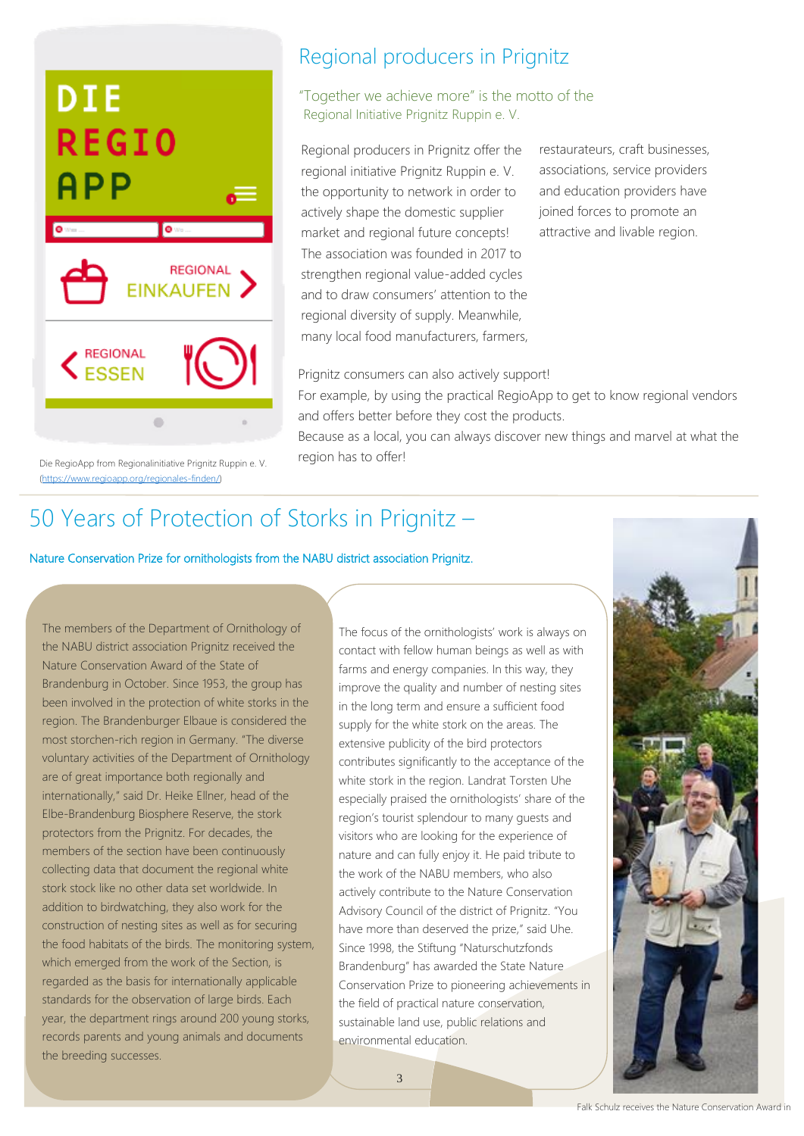

Die RegioApp from Regionalinitiative Prignitz Ruppin e. V. [\(https://www.regioapp.org/regionales-finden/\)](https://www.regioapp.org/regionales-finden/)

### Regional producers in Prignitz

### "Together we achieve more" is the motto of the Regional Initiative Prignitz Ruppin e. V.

Regional producers in Prignitz offer the regional initiative Prignitz Ruppin e. V. the opportunity to network in order to actively shape the domestic supplier market and regional future concepts! The association was founded in 2017 to strengthen regional value-added cycles and to draw consumers' attention to the regional diversity of supply. Meanwhile, many local food manufacturers, farmers,

restaurateurs, craft businesses, associations, service providers and education providers have joined forces to promote an attractive and livable region.

Prignitz consumers can also actively support! For example, by using the practical RegioApp to get to know regional vendors and offers better before they cost the products.

Because as a local, you can always discover new things and marvel at what the region has to offer!

# 50 Years of Protection of Storks in Prignitz –

Nature Conservation Prize for ornithologists from the NABU district association Prignitz.

The members of the Department of Ornithology of the NABU district association Prignitz received the Nature Conservation Award of the State of Brandenburg in October. Since 1953, the group has been involved in the protection of white storks in the region. The Brandenburger Elbaue is considered the most storchen-rich region in Germany. "The diverse voluntary activities of the Department of Ornithology are of great importance both regionally and internationally," said Dr. Heike Ellner, head of the Elbe-Brandenburg Biosphere Reserve, the stork protectors from the Prignitz. For decades, the members of the section have been continuously collecting data that document the regional white stork stock like no other data set worldwide. In addition to birdwatching, they also work for the construction of nesting sites as well as for securing the food habitats of the birds. The monitoring system, which emerged from the work of the Section, is regarded as the basis for internationally applicable standards for the observation of large birds. Each year, the department rings around 200 young storks, records parents and young animals and documents the breeding successes.

The focus of the ornithologists' work is always on contact with fellow human beings as well as with farms and energy companies. In this way, they improve the quality and number of nesting sites in the long term and ensure a sufficient food supply for the white stork on the areas. The extensive publicity of the bird protectors contributes significantly to the acceptance of the white stork in the region. Landrat Torsten Uhe especially praised the ornithologists' share of the region's tourist splendour to many guests and visitors who are looking for the experience of nature and can fully enjoy it. He paid tribute to the work of the NABU members, who also actively contribute to the Nature Conservation Advisory Council of the district of Prignitz. "You have more than deserved the prize," said Uhe. Since 1998, the Stiftung "Naturschutzfonds Brandenburg" has awarded the State Nature Conservation Prize to pioneering achievements in the field of practical nature conservation, sustainable land use, public relations and environmental education.